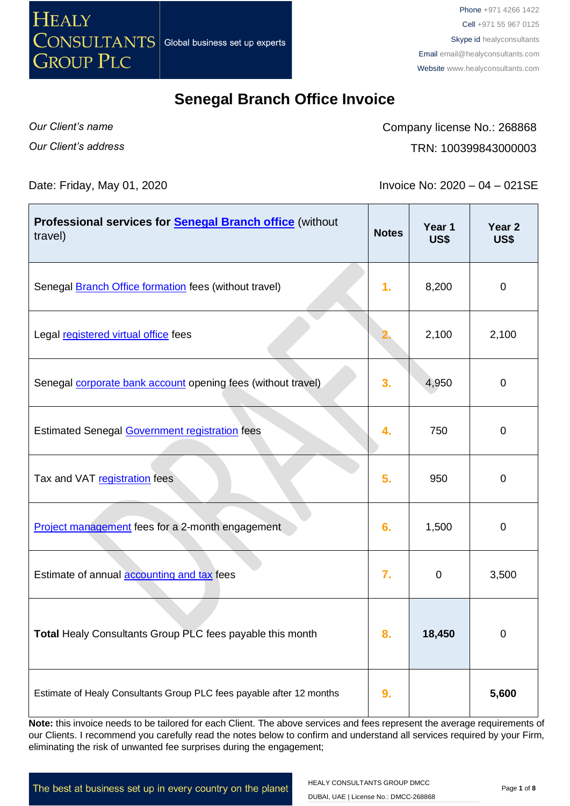

Phone +971 4266 1422 Cell +971 55 967 0125 Skype id healyconsultants Email [email@healyconsultants.com](mailto:EMAIL@HEALYCONSULTANTS.COM) Website [www.healyconsultants.com](http://www.healyconsultants.com/)

#### **Senegal Branch Office Invoice**

*Our Client's name Our Client's address* Company license No.: 268868 TRN: 100399843000003

Date: Friday, May 01, 2020 **Invoice No: 2020** – 04 – 021SE

| Professional services for <b>Senegal Branch office</b> (without<br>travel) | <b>Notes</b> | Year 1<br><b>US\$</b> | Year <sub>2</sub><br><b>US\$</b> |
|----------------------------------------------------------------------------|--------------|-----------------------|----------------------------------|
| Senegal <b>Branch Office formation</b> fees (without travel)               | 1.           | 8,200                 | $\mathbf 0$                      |
| Legal registered virtual office fees                                       |              | 2,100                 | 2,100                            |
| Senegal <b>corporate bank account</b> opening fees (without travel)        | 3.           | 4,950                 | $\boldsymbol{0}$                 |
| <b>Estimated Senegal Government registration fees</b>                      | 4.           | 750                   | $\mathbf 0$                      |
| Tax and VAT registration fees                                              | 5.           | 950                   | $\mathbf 0$                      |
| Project management fees for a 2-month engagement                           | 6.           | 1,500                 | $\boldsymbol{0}$                 |
| Estimate of annual accounting and tax fees                                 | 7.           | 0                     | 3,500                            |
| Total Healy Consultants Group PLC fees payable this month                  | 8.           | 18,450                | $\mathbf 0$                      |
| Estimate of Healy Consultants Group PLC fees payable after 12 months       | 9.           |                       | 5,600                            |

**Note:** this invoice needs to be tailored for each Client. The above services and fees represent the average requirements of our Clients. I recommend you carefully read the notes below to confirm and understand all services required by your Firm, eliminating the risk of unwanted fee surprises during the engagement;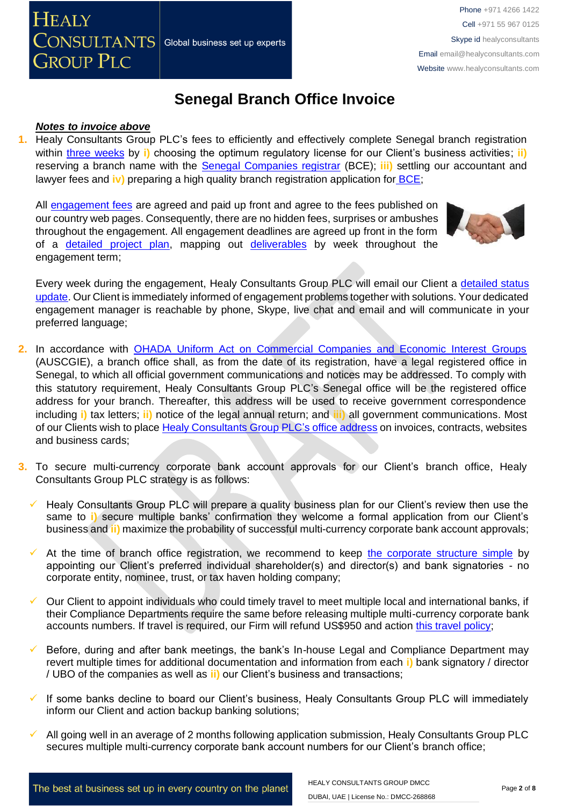# **Senegal Branch Office Invoice**

#### *Notes to invoice above*

**GROUP PLC** 

**CONSULTANTS** Global business set up experts

**HEALY** 

**1.** Healy Consultants Group PLC's fees to efficiently and effectively complete Senegal branch registration within three [weeks](http://www.healyconsultants.com/senegal-company-registration/fees-timelines/) by **i**) choosing the optimum regulatory license for our Client's business activities; **ii**) reserving a branch name with the [Senegal Companies registrar](http://creationdentreprise.sn/les-formalites-de-creation) (BCE); **iii)** settling our accountant and lawyer fees and **iv)** preparing a high quality branch registration application for [BCE;](http://creationdentreprise.sn/les-formalites-de-creation)

All [engagement fees](http://www.healyconsultants.com/company-registration-fees/) are agreed and paid up front and agree to the fees published on our country web pages. Consequently, there are no hidden fees, surprises or ambushes throughout the engagement. All engagement deadlines are agreed up front in the form of a [detailed project plan,](http://www.healyconsultants.com/index-important-links/example-project-plan/) mapping out [deliverables](http://www.healyconsultants.com/deliverables-to-our-clients/) by week throughout the engagement term;



Every week during the engagement, Healy Consultants Group PLC will email our Client a [detailed status](http://www.healyconsultants.com/index-important-links/weekly-engagement-status-email/)  [update.](http://www.healyconsultants.com/index-important-links/weekly-engagement-status-email/) Our Client is immediately informed of engagement problems together with solutions. Your dedicated engagement manager is reachable by phone, Skype, live chat and email and will communicate in your preferred language;

- **2.** In accordance with [OHADA Uniform Act on Commercial Companies and Economic Interest Groups](http://www.ohadalegis.com/anglais/tableaustescomgb1.htm) (AUSCGIE), a branch office shall, as from the date of its registration, have a legal registered office in Senegal, to which all official government communications and notices may be addressed. To comply with this statutory requirement, Healy Consultants Group PLC's Senegal office will be the registered office address for your branch. Thereafter, this address will be used to receive government correspondence including **i)** tax letters; **ii)** notice of the legal annual return; and **iii)** all government communications. Most of our Clients wish to place [Healy Consultants Group PLC's](http://www.healyconsultants.com/corporate-outsourcing-services/company-secretary-and-legal-registered-office/) office address on invoices, contracts, websites and business cards;
- **3.** To secure multi-currency corporate bank account approvals for our Client's branch office, Healy Consultants Group PLC strategy is as follows:
	- Healy Consultants Group PLC will prepare a quality business plan for our Client's review then use the same to **i)** secure multiple banks' confirmation they welcome a formal application from our Client's business and **ii)** maximize the probability of successful multi-currency corporate bank account approvals;
	- At the time of branch office registration, we recommend to keep [the corporate structure simple](https://www.healyconsultants.com/about-us/complex-client-engagements/simplify-business-setup/) by appointing our Client's preferred individual shareholder(s) and director(s) and bank signatories - no corporate entity, nominee, trust, or tax haven holding company;
	- ✓ Our Client to appoint individuals who could timely travel to meet multiple local and international banks, if their Compliance Departments require the same before releasing multiple multi-currency corporate bank accounts numbers. If travel is required, our Firm will refund US\$950 and action [this travel policy;](https://www.healyconsultants.com/index-important-links/clients-travel-engagement/)
	- Before, during and after bank meetings, the bank's In-house Legal and Compliance Department may revert multiple times for additional documentation and information from each **i)** bank signatory / director / UBO of the companies as well as **ii)** our Client's business and transactions;
	- If some banks decline to board our Client's business, Healy Consultants Group PLC will immediately inform our Client and action backup banking solutions;
	- All going well in an average of 2 months following application submission, Healy Consultants Group PLC secures multiple multi-currency corporate bank account numbers for our Client's branch office;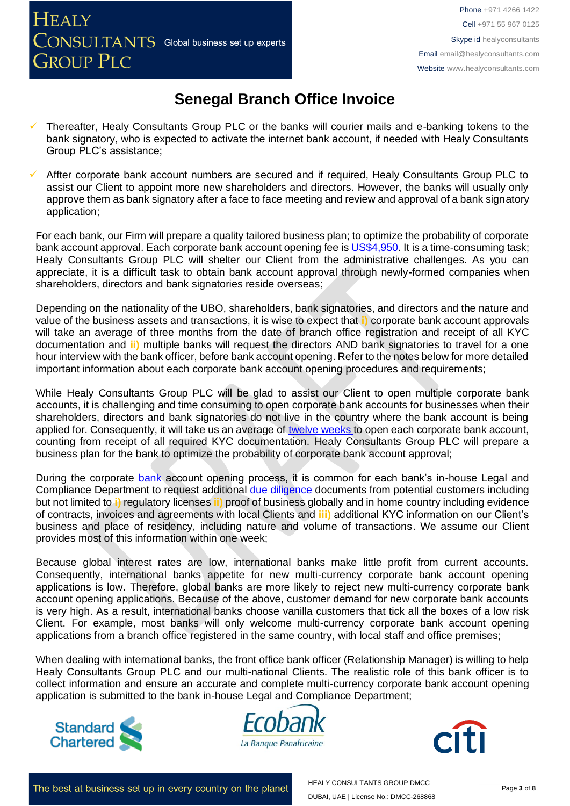**GROUP PLC** 

## **Senegal Branch Office Invoice**

Thereafter, Healy Consultants Group PLC or the banks will courier mails and e-banking tokens to the bank signatory, who is expected to activate the internet bank account, if needed with Healy Consultants Group PLC's assistance;

Affter corporate bank account numbers are secured and if required, Healy Consultants Group PLC to assist our Client to appoint more new shareholders and directors. However, the banks will usually only approve them as bank signatory after a face to face meeting and review and approval of a bank signatory application;

For each bank, our Firm will prepare a quality tailored business plan; to optimize the probability of corporate bank account approval. Each corporate bank account opening fee is [US\\$4,950.](https://www.healyconsultants.com/global-corporate-banking-for-resident-company/) It is a time-consuming task; Healy Consultants Group PLC will shelter our Client from the administrative challenges. As you can appreciate, it is a difficult task to obtain bank account approval through newly-formed companies when shareholders, directors and bank signatories reside overseas;

Depending on the nationality of the UBO, shareholders, bank signatories, and directors and the nature and value of the business assets and transactions, it is wise to expect that **i)** corporate bank account approvals will take an average of three months from the date of branch office registration and receipt of all KYC documentation and **ii)** multiple banks will request the directors AND bank signatories to travel for a one hour interview with the bank officer, before bank account opening. Refer to the notes below for more detailed important information about each corporate bank account opening procedures and requirements;

While Healy Consultants Group PLC will be glad to assist our Client to open multiple corporate bank accounts, it is challenging and time consuming to open corporate bank accounts for businesses when their shareholders, directors and bank signatories do not live in the country where the bank account is being applied for. Consequently, it will take us an average of [twelve weeks](http://www.healyconsultants.com/international-banking/bitcoin-business-bank-account/) to open each corporate bank account, counting from receipt of all required KYC documentation. Healy Consultants Group PLC will prepare a business plan for the bank to optimize the probability of corporate bank account approval;

During the corporate bank account opening process, it is common for each bank's in-house Legal and Compliance Department to request additional [due diligence](http://www.healyconsultants.com/due-diligence/) documents from potential customers including but not limited to **i)** regulatory licenses **ii)** proof of business globally and in home country including evidence of contracts, invoices and agreements with local Clients and **iii)** additional KYC information on our Client's business and place of residency, including nature and volume of transactions. We assume our Client provides most of this information within one week;

Because global interest rates are low, international banks make little profit from current accounts. Consequently, international banks appetite for new multi-currency corporate bank account opening applications is low. Therefore, global banks are more likely to reject new multi-currency corporate bank account opening applications. Because of the above, customer demand for new corporate bank accounts is very high. As a result, international banks choose vanilla customers that tick all the boxes of a low risk Client. For example, most banks will only welcome multi-currency corporate bank account opening applications from a branch office registered in the same country, with local staff and office premises;

When dealing with international banks, the front office bank officer (Relationship Manager) is willing to help Healy Consultants Group PLC and our multi-national Clients. The realistic role of this bank officer is to collect information and ensure an accurate and complete multi-currency corporate bank account opening application is submitted to the bank in-house Legal and Compliance Department;





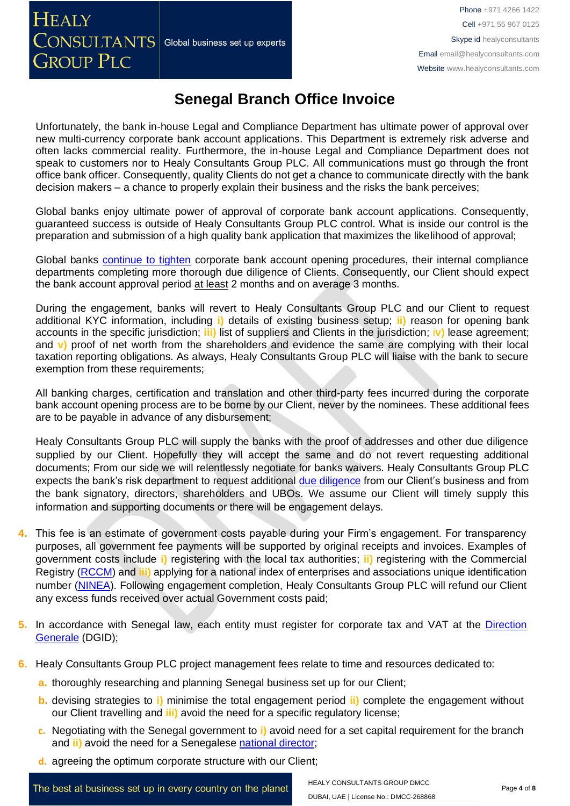## **Senegal Branch Office Invoice**

Unfortunately, the bank in-house Legal and Compliance Department has ultimate power of approval over new multi-currency corporate bank account applications. This Department is extremely risk adverse and often lacks commercial reality. Furthermore, the in-house Legal and Compliance Department does not speak to customers nor to Healy Consultants Group PLC. All communications must go through the front office bank officer. Consequently, quality Clients do not get a chance to communicate directly with the bank decision makers – a chance to properly explain their business and the risks the bank perceives;

Global banks enjoy ultimate power of approval of corporate bank account applications. Consequently, guaranteed success is outside of Healy Consultants Group PLC control. What is inside our control is the preparation and submission of a high quality bank application that maximizes the likelihood of approval;

Global banks [continue to tighten](https://www.healyconsultants.com/international-banking/opening-corporate-bank-accounts/) corporate bank account opening procedures, their internal compliance departments completing more thorough due diligence of Clients. Consequently, our Client should expect the bank account approval period at least 2 months and on average 3 months.

During the engagement, banks will revert to Healy Consultants Group PLC and our Client to request additional KYC information, including **i)** details of existing business setup; **ii)** reason for opening bank accounts in the specific jurisdiction; **iii)** list of suppliers and Clients in the jurisdiction; i**v)** lease agreement; and **v)** proof of net worth from the shareholders and evidence the same are complying with their local taxation reporting obligations. As always, Healy Consultants Group PLC will liaise with the bank to secure exemption from these requirements;

All banking charges, certification and translation and other third-party fees incurred during the corporate bank account opening process are to be borne by our Client, never by the nominees. These additional fees are to be payable in advance of any disbursement;

Healy Consultants Group PLC will supply the banks with the proof of addresses and other due diligence supplied by our Client. Hopefully they will accept the same and do not revert requesting additional documents; From our side we will relentlessly negotiate for banks waivers. Healy Consultants Group PLC expects the bank's risk department to request additional [due diligence](http://www.healyconsultants.com/due-diligence/) from our Client's business and from the bank signatory, directors, shareholders and UBOs. We assume our Client will timely supply this information and supporting documents or there will be engagement delays.

- **4.** This fee is an estimate of government costs payable during your Firm's engagement. For transparency purposes, all government fee payments will be supported by original receipts and invoices. Examples of government costs include **i)** registering with the local tax authorities; **ii)** registering with the Commercial Registry [\(RCCM\)](http://www.servicepublic.gouv.sn/index.php/demarche_administrative/demarche/1/196) and **iii)** applying for a national index of enterprises and associations unique identification number [\(NINEA\)](http://www.impotsetdomaines.gouv.sn/fr/quest-ce-que-le-ninea). Following engagement completion, Healy Consultants Group PLC will refund our Client any excess funds received over actual Government costs paid;
- **5.** In accordance with Senegal law, each entity must register for corporate tax and VAT at the [Direction](http://www.impotsetdomaines.gouv.sn/)  [Generale](http://www.impotsetdomaines.gouv.sn/) (DGID);
- **6.** Healy Consultants Group PLC project management fees relate to time and resources dedicated to:
	- **a.** thoroughly researching and planning Senegal business set up for our Client;
	- **b.** devising strategies to **i)** minimise the total engagement period **ii)** complete the engagement without our Client travelling and **iii)** avoid the need for a specific regulatory license;
	- **c.** Negotiating with the Senegal government to **i)** avoid need for a set capital requirement for the branch and **ii)** avoid the need for a Senegalese national [director;](http://www.healyconsultants.com/corporate-advisory-services/nominee-shareholders-directors/national-shareholder-services/)
	- **d.** agreeing the optimum corporate structure with our Client;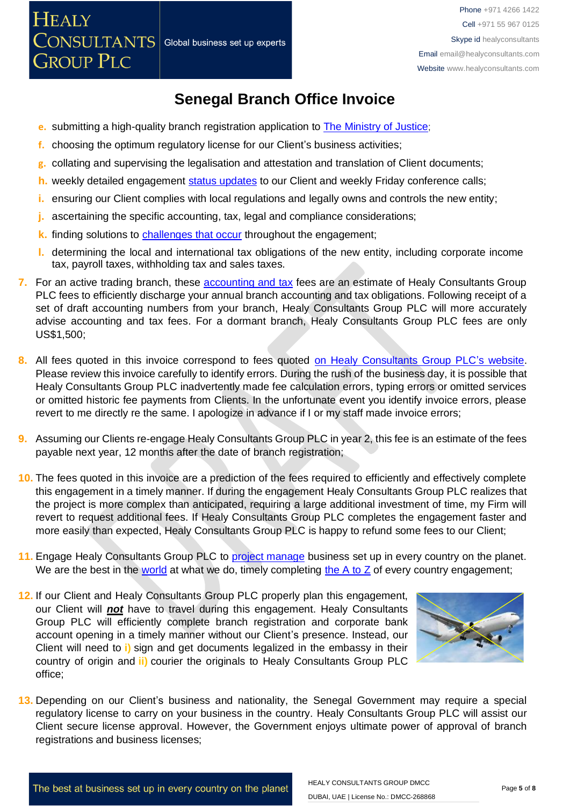#### **Senegal Branch Office Invoice**

- **e.** submitting a high-quality branch registration application to [The Ministry of Justice](http://seninfogreffe.com/);
- **f.** choosing the optimum regulatory license for our Client's business activities;
- **g.** collating and supervising the legalisation and attestation and translation of Client documents;
- **h.** weekly detailed engagement [status updates](http://www.healyconsultants.com/index-important-links/weekly-engagement-status-email/) to our Client and weekly Friday conference calls;
- **i.** ensuring our Client complies with local regulations and legally owns and controls the new entity;
- **j.** ascertaining the specific accounting, tax, legal and compliance considerations;
- **k.** finding solutions to **challenges that occur** throughout the engagement;
- **l.** determining the local and international tax obligations of the new entity, including corporate income tax, payroll taxes, withholding tax and sales taxes.
- **7.** For an active trading branch, these [accounting and tax](http://www.healyconsultants.com/senegal-company-registration/accounting-legal/) fees are an estimate of Healy Consultants Group PLC fees to efficiently discharge your annual branch accounting and tax obligations. Following receipt of a set of draft accounting numbers from your branch, Healy Consultants Group PLC will more accurately advise accounting and tax fees. For a dormant branch, Healy Consultants Group PLC fees are only US\$1,500;
- 8. All fees quoted in this invoice correspond to fees quoted [on Healy Consultants Group PLC's](http://www.healyconsultants.com/company-registration-fees/) website. Please review this invoice carefully to identify errors. During the rush of the business day, it is possible that Healy Consultants Group PLC inadvertently made fee calculation errors, typing errors or omitted services or omitted historic fee payments from Clients. In the unfortunate event you identify invoice errors, please revert to me directly re the same. I apologize in advance if I or my staff made invoice errors;
- **9.** Assuming our Clients re-engage Healy Consultants Group PLC in year 2, this fee is an estimate of the fees payable next year, 12 months after the date of branch registration;
- **10.** The fees quoted in this invoice are a prediction of the fees required to efficiently and effectively complete this engagement in a timely manner. If during the engagement Healy Consultants Group PLC realizes that the project is more complex than anticipated, requiring a large additional investment of time, my Firm will revert to request additional fees. If Healy Consultants Group PLC completes the engagement faster and more easily than expected, Healy Consultants Group PLC is happy to refund some fees to our Client;
- 11. Engage Healy Consultants Group PLC to [project manage](http://www.healyconsultants.com/project-manage-engagements/) business set up in every country on the planet. We are the best in the [world](http://www.healyconsultants.com/best-in-the-world/) at what we do, timely completing the  $A$  to  $Z$  of every country engagement;
- **12.** If our Client and Healy Consultants Group PLC properly plan this engagement, our Client will *not* have to travel during this engagement. Healy Consultants Group PLC will efficiently complete branch registration and corporate bank account opening in a timely manner without our Client's presence. Instead, our Client will need to **i)** sign and get documents legalized in the embassy in their country of origin and **ii)** courier the originals to Healy Consultants Group PLC office;



**13.** Depending on our Client's business and nationality, the Senegal Government may require a special regulatory license to carry on your business in the country. Healy Consultants Group PLC will assist our Client secure license approval. However, the Government enjoys ultimate power of approval of branch registrations and business licenses;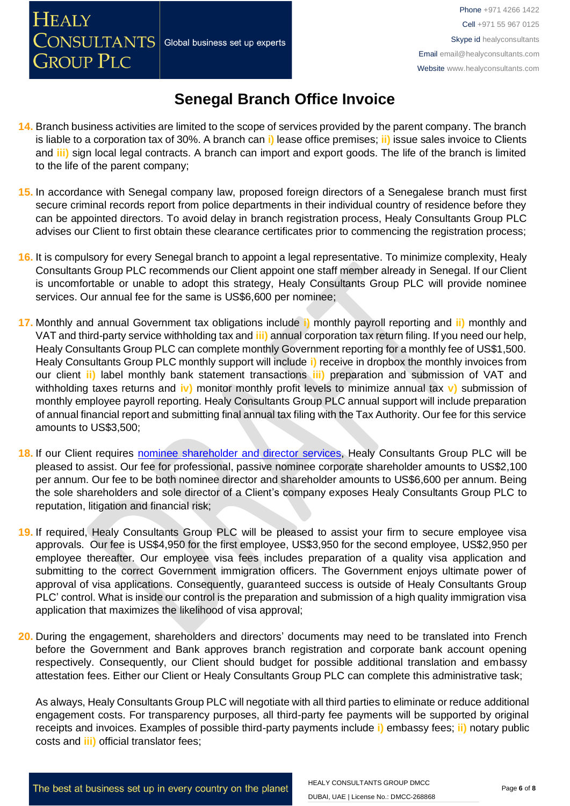**GROUP PLC** 

## **Senegal Branch Office Invoice**

- **14.** Branch business activities are limited to the scope of services provided by the parent company. The branch is liable to a corporation tax of 30%. A branch can **i)** lease office premises; **ii)** issue sales invoice to Clients and **iii)** sign local legal contracts. A branch can import and export goods. The life of the branch is limited to the life of the parent company;
- **15.** In accordance with Senegal company law, proposed foreign directors of a Senegalese branch must first secure criminal records report from police departments in their individual country of residence before they can be appointed directors. To avoid delay in branch registration process, Healy Consultants Group PLC advises our Client to first obtain these clearance certificates prior to commencing the registration process;
- **16.** It is compulsory for every Senegal branch to appoint a legal representative. To minimize complexity, Healy Consultants Group PLC recommends our Client appoint one staff member already in Senegal. If our Client is uncomfortable or unable to adopt this strategy, Healy Consultants Group PLC will provide nominee services. Our annual fee for the same is US\$6,600 per nominee;
- **17.** Monthly and annual Government tax obligations include **i)** monthly payroll reporting and **ii)** monthly and VAT and third-party service withholding tax and **iii)** annual corporation tax return filing. If you need our help, Healy Consultants Group PLC can complete monthly Government reporting for a monthly fee of US\$1,500. Healy Consultants Group PLC monthly support will include **i)** receive in dropbox the monthly invoices from our client **ii)** label monthly bank statement transactions **iii)** preparation and submission of VAT and withholding taxes returns and **iv)** monitor monthly profit levels to minimize annual tax **v)** submission of monthly employee payroll reporting. Healy Consultants Group PLC annual support will include preparation of annual financial report and submitting final annual tax filing with the Tax Authority. Our fee for this service amounts to US\$3,500;
- **18.** If our Client requires [nominee shareholder and director services,](http://www.healyconsultants.com/corporate-outsourcing-services/nominee-shareholders-directors/) Healy Consultants Group PLC will be pleased to assist. Our fee for professional, passive nominee corporate shareholder amounts to US\$2,100 per annum. Our fee to be both nominee director and shareholder amounts to US\$6,600 per annum. Being the sole shareholders and sole director of a Client's company exposes Healy Consultants Group PLC to reputation, litigation and financial risk;
- **19.** If required, Healy Consultants Group PLC will be pleased to assist your firm to secure employee visa approvals. Our fee is US\$4,950 for the first employee, US\$3,950 for the second employee, US\$2,950 per employee thereafter. Our employee visa fees includes preparation of a quality visa application and submitting to the correct Government immigration officers. The Government enjoys ultimate power of approval of visa applications. Consequently, guaranteed success is outside of Healy Consultants Group PLC' control. What is inside our control is the preparation and submission of a high quality immigration visa application that maximizes the likelihood of visa approval;
- **20.** During the engagement, shareholders and directors' documents may need to be translated into French before the Government and Bank approves branch registration and corporate bank account opening respectively. Consequently, our Client should budget for possible additional translation and embassy attestation fees. Either our Client or Healy Consultants Group PLC can complete this administrative task;

As always, Healy Consultants Group PLC will negotiate with all third parties to eliminate or reduce additional engagement costs. For transparency purposes, all third-party fee payments will be supported by original receipts and invoices. Examples of possible third-party payments include **i)** embassy fees; **ii)** notary public costs and **iii)** official translator fees;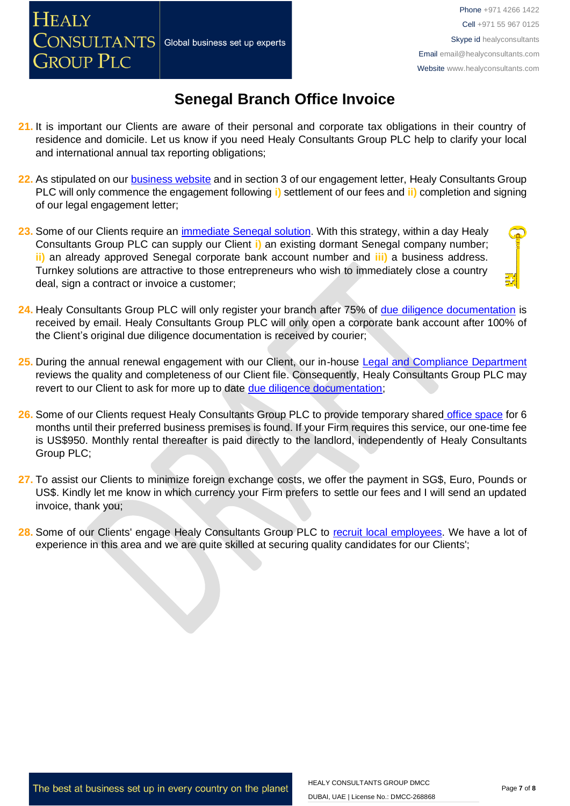**GROUP PLC** 

Phone +971 4266 1422 Cell +971 55 967 0125 Skype id healyconsultants Email [email@healyconsultants.com](mailto:EMAIL@HEALYCONSULTANTS.COM) Website [www.healyconsultants.com](http://www.healyconsultants.com/)

## **Senegal Branch Office Invoice**

- **21.** It is important our Clients are aware of their personal and corporate tax obligations in their country of residence and domicile. Let us know if you need Healy Consultants Group PLC help to clarify your local and international annual tax reporting obligations;
- **22.** As stipulated on our [business website](http://www.healyconsultants.com/) and in section 3 of our engagement letter, Healy Consultants Group PLC will only commence the engagement following **i)** settlement of our fees and **ii)** completion and signing of our legal engagement letter;
- **23.** Some of our Clients require an [immediate Senegal](http://www.healyconsultants.com/turnkey-solutions/) solution. With this strategy, within a day Healy Consultants Group PLC can supply our Client **i)** an existing dormant Senegal company number; **ii)** an already approved Senegal corporate bank account number and **iii)** a business address. Turnkey solutions are attractive to those entrepreneurs who wish to immediately close a country deal, sign a contract or invoice a customer;
- **24.** Healy Consultants Group PLC will only register your branch after 75% of [due diligence documentation](http://www.healyconsultants.com/due-diligence/) is received by email. Healy Consultants Group PLC will only open a corporate bank account after 100% of the Client's original due diligence documentation is received by courier;
- **25.** During the annual renewal engagement with our Client, our in-house [Legal and Compliance Department](http://www.healyconsultants.com/about-us/key-personnel/cai-xin-profile/)  reviews the quality and completeness of our Client file. Consequently, Healy Consultants Group PLC may revert to our Client to ask for more up to date [due diligence documentation;](http://www.healyconsultants.com/due-diligence/)
- **26.** Some of our Clients request Healy Consultants Group PLC to provide temporary shared [office space](http://www.healyconsultants.com/virtual-office/) for 6 months until their preferred business premises is found. If your Firm requires this service, our one-time fee is US\$950. Monthly rental thereafter is paid directly to the landlord, independently of Healy Consultants Group PLC;
- 27. To assist our Clients to minimize foreign exchange costs, we offer the payment in SG\$, Euro, Pounds or US\$. Kindly let me know in which currency your Firm prefers to settle our fees and I will send an updated invoice, thank you;
- 28. Some of our Clients' engage Healy Consultants Group PLC to [recruit local employees.](http://www.healyconsultants.com/corporate-outsourcing-services/how-we-help-our-clients-recruit-quality-employees/) We have a lot of experience in this area and we are quite skilled at securing quality candidates for our Clients';